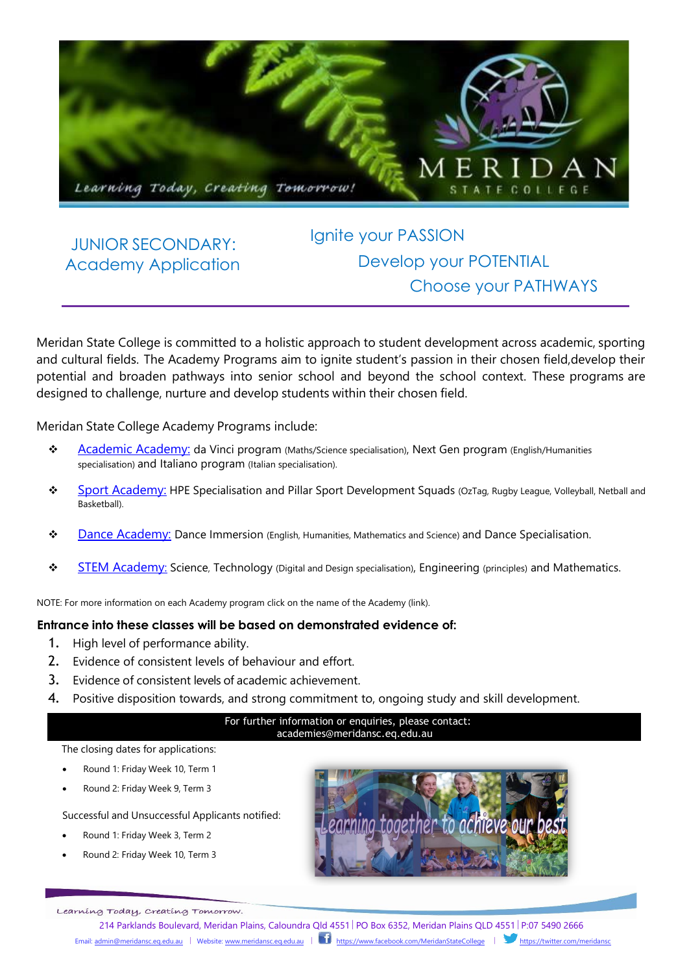

### JUNIOR SECONDARY: Academy Application

# Ignite your PASSION Develop your POTENTIAL Choose your PATHWAYS

Meridan State College is committed to a holistic approach to student development across academic, sporting and cultural fields. The Academy Programs aim to ignite student's passion in their chosen field,develop their potential and broaden pathways into senior school and beyond the school context. These programs are designed to challenge, nurture and develop students within their chosen field.

Meridan State College Academy Programs include:

- \* [Academic Academy:](https://meridansc.eq.edu.au/curriculum/excellence-programs/academic-academy) da Vinci program (Maths/Science specialisation), Next Gen program (English/Humanities specialisation) and Italiano program (Italian specialisation).
- **[Sport Academy:](https://meridansc.eq.edu.au/curriculum/excellence-programs/sport-academy) HPE Specialisation and Pillar Sport Development Squads (OzTag, Rugby League, Volleyball, Netball and** Basketball).
- [Dance Academy:](https://meridansc.eq.edu.au/curriculum/excellence-programs/dance-academy) Dance Immersion (English, Humanities, Mathematics and Science) and Dance Specialisation.
- **[STEM Academy:](https://meridansc.eq.edu.au/curriculum/excellence-programs/s-t-e-m-academy)** Science, Technology (Digital and Design specialisation), Engineering (principles) and Mathematics.

NOTE: For more information on each Academy program click on the name of the Academy (link).

#### **Entrance into these classes will be based on demonstrated evidence of:**

- 1. High level of performance ability.
- 2. Evidence of consistent levels of behaviour and effort.
- 3. Evidence of consistent levels of academic achievement.
- 4. Positive disposition towards, and strong commitment to, ongoing study and skill development.

#### For further information or enquiries, please contact: [academies@meridansc.eq.edu.au](mailto:academies@meridansc.eq.edu.au)

#### The closing dates for applications:

- Round 1: Friday Week 10, Term 1
- Round 2: Friday Week 9, Term 3

Successful and Unsuccessful Applicants notified:

- Round 1: Friday Week 3, Term 2
- Round 2: Friday Week 10, Term 3



Learning Today, Creating Tomorrow.

214 Parklands Boulevard, Meridan Plains, Caloundra Qld 4551 PO Box 6352, Meridan Plains QLD 4551 P:07 5490 2666 Email[: admin@meridansc.eq.edu.au](mailto:admin@meridansc.eq.edu.au) | Website[: www.meridansc.eq.edu.au](http://www.meridansc.eq.edu.au/) | <https://www.facebook.com/MeridanStateCollege>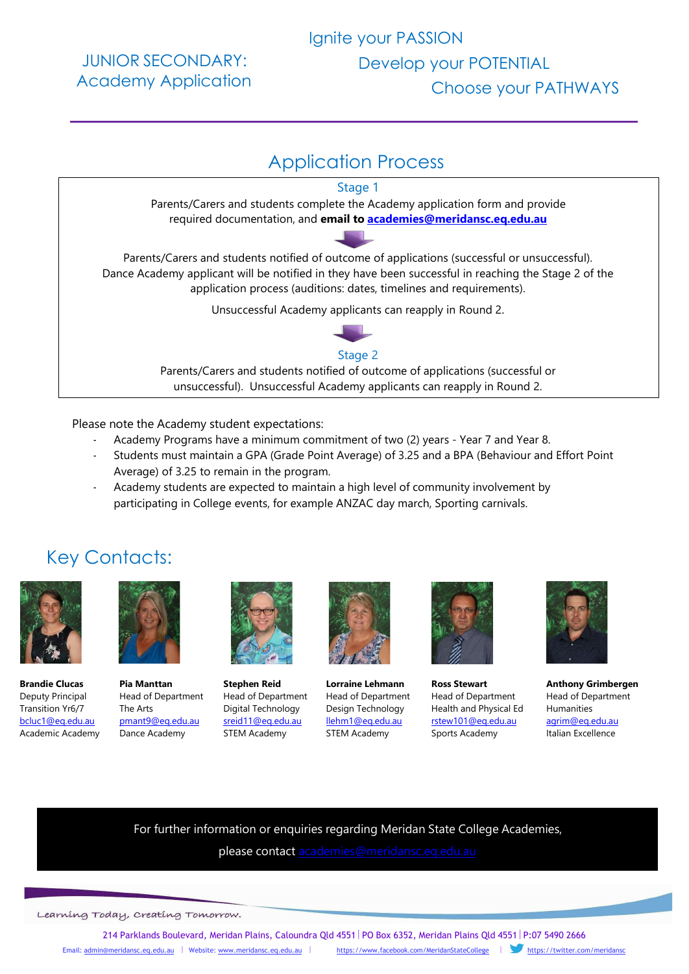JUNIOR SECONDARY: Academy Application



Please note the Academy student expectations:

- Academy Programs have a minimum commitment of two (2) years Year 7 and Year 8.
- Students must maintain a GPA (Grade Point Average) of 3.25 and a BPA (Behaviour and Effort Point Average) of 3.25 to remain in the program.
- Academy students are expected to maintain a high level of community involvement by participating in College events, for example ANZAC day march, Sporting carnivals.

## Key Contacts:



 **Brandie Clucas**  Deputy Principal Transition Yr6/7 [bcluc1@eq.edu.au](mailto:bcluc1@eq.edu.au) Academic Academy



**Pia Manttan** Head of Department The Arts [pmant9@eq.edu.au](mailto:pmant9@eq.edu.au) Dance Academy



**Stephen Reid** Head of Department Digital Technology [sreid11@eq.edu.au](mailto:sreid11@eq.edu.au) STEM Academy



**Lorraine Lehmann**  Head of Department Design Technology [llehm1@eq.edu.au](mailto:llehm1@eq.edu.au) STEM Academy



**Ross Stewart** Head of Department Health and Physical Ed [rstew101@eq.edu.au](mailto:rstew101@eq.edu.au) Sports Academy



**Anthony Grimbergen**  Head of Department Humanities [agrim@eq.edu.au](mailto:agrim@eq.edu.au) Italian Excellence

For further information or enquiries regarding Meridan State College Academies,

please contact [academies@meridansc.eq.edu.au](mailto:academies@meridansc.eq.edu.au)

Learning Today, Creating Tomorrow.

214 Parklands Boulevard, Meridan Plains, Caloundra Qld 4551 PO Box 6352, Meridan Plains Qld 4551 P:07 5490 2666 Email: [admin@meridansc.eq.edu.au](mailto:admin@meridansc.eq.edu.au) | Website: [www.meridansc.eq.edu.au](http://www.meridansc.eq.edu.au/) | <https://www.facebook.com/MeridanStateCollege>| <https://twitter.com/meridansc>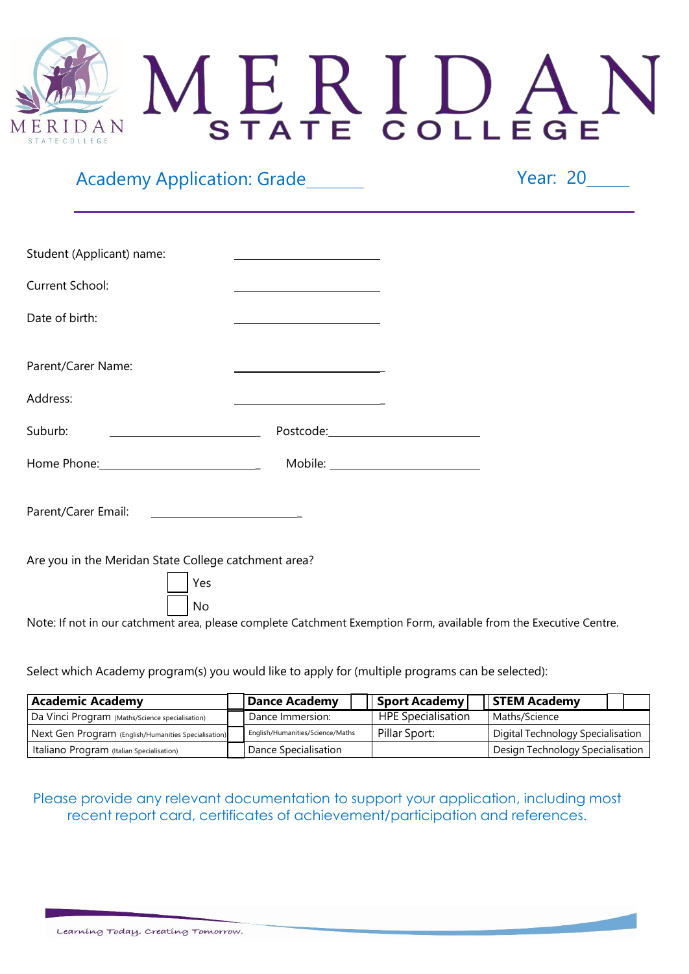# MERIDA ERIDAN STATE COLLEGE

## Academy Application: Grade Academy Application: Grade

Executive Centre.

| Student (Applicant) name:                                                                                      |                                                                                                                        |  |
|----------------------------------------------------------------------------------------------------------------|------------------------------------------------------------------------------------------------------------------------|--|
| Current School:                                                                                                | <u> 1989 - Johann Barn, mars ann an t-Amhain Aonaich an t-Aonaich an t-Aonaich an t-Aonaich an t-Aonaich an t-Aon</u>  |  |
| Date of birth:                                                                                                 | <u> 1980 - Johann Barn, mars ann an t-Amhain Aonaich an t-Aonaich an t-Aonaich ann an t-Aonaich ann an t-Aonaich</u>   |  |
| Parent/Carer Name:                                                                                             | <u> 1989 - Johann Barn, mars eta bainar eta baina eta baina eta baina eta baina eta baina eta baina eta baina e</u>    |  |
| Address:                                                                                                       | <u> 1980 - Johann Barn, mars an t-Amerikaansk ferhandsk ferhandsk ferhandsk ferhandsk ferhandsk ferhandsk ferhands</u> |  |
| Suburb:<br><u> 1980 - John Stone, mars et al. (</u>                                                            |                                                                                                                        |  |
| Home Phone: 2008 and 2008 and 2008 and 2008 and 2010 and 2010 and 2010 and 2010 and 2010 and 2010 and 2010 and |                                                                                                                        |  |
|                                                                                                                |                                                                                                                        |  |
| Are you in the Meridan State College catchment area?                                                           |                                                                                                                        |  |
| Yes<br>No                                                                                                      |                                                                                                                        |  |
| Note: If not in our catchment area, please complete Catchment Exemption Form, available from the               |                                                                                                                        |  |

Select which Academy program(s) you would like to apply for (multiple programs can be selected):

| <b>Academic Academy</b>                              |  | Dance Academy                    | Sport Academy             | STEM Academy                      |
|------------------------------------------------------|--|----------------------------------|---------------------------|-----------------------------------|
| Da Vinci Program (Maths/Science specialisation)      |  | Dance Immersion:                 | <b>HPE Specialisation</b> | Maths/Science                     |
| Next Gen Program (English/Humanities Specialisation) |  | English/Humanities/Science/Maths | Pillar Sport:             | Digital Technology Specialisation |
| Italiano Program (Italian Specialisation)            |  | Dance Specialisation             |                           | Design Technology Specialisation  |

Please provide any relevant documentation to support your application, including most recent report card, certificates of achievement/participation and references.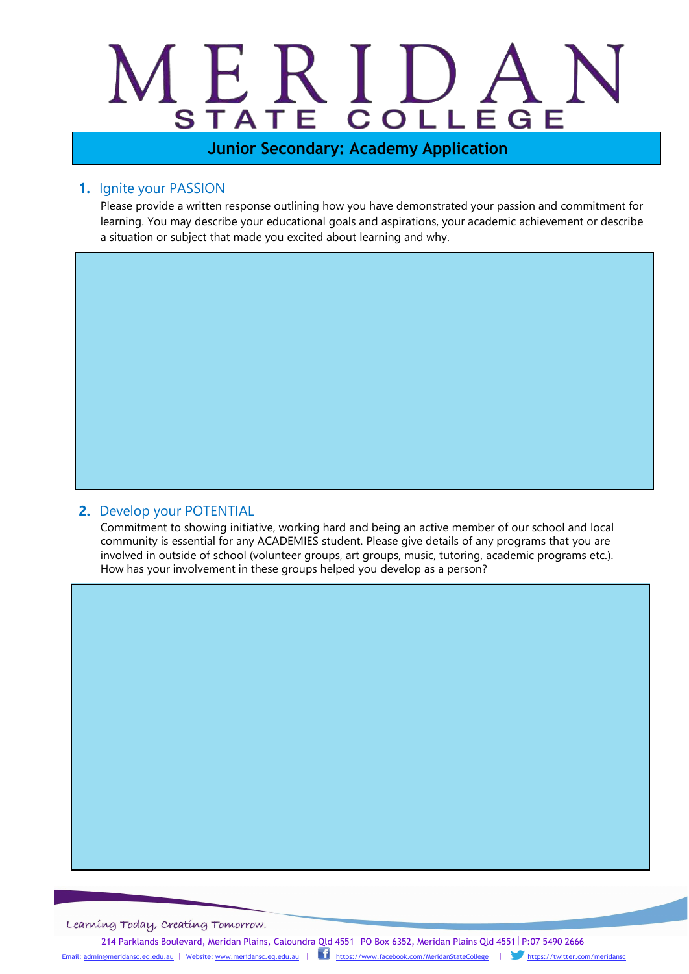# MERI **STAT**

**Junior Secondary: Academy Application**

#### **1.** Ignite your PASSION

Please provide a written response outlining how you have demonstrated your passion and commitment for learning. You may describe your educational goals and aspirations, your academic achievement or describe a situation or subject that made you excited about learning and why.

#### **2.** Develop your POTENTIAL

Commitment to showing initiative, working hard and being an active member of our school and local community is essential for any ACADEMIES student. Please give details of any programs that you are involved in outside of school (volunteer groups, art groups, music, tutoring, academic programs etc.). How has your involvement in these groups helped you develop as a person?

Learning Today, Creating Tomorrow.

214 Parklands Boulevard, Meridan Plains, Caloundra Qld 4551 | PO Box 6352, Meridan Plains Qld 4551 | P:07 5490 2666

Email: [admin@meridansc.eq.edu.au](mailto:admin@meridansc.eq.edu.au) | Website: [www.meridansc.eq.edu.au](http://www.meridansc.eq.edu.au/) | <https://www.facebook.com/MeridanStateCollege>| <https://twitter.com/meridansc>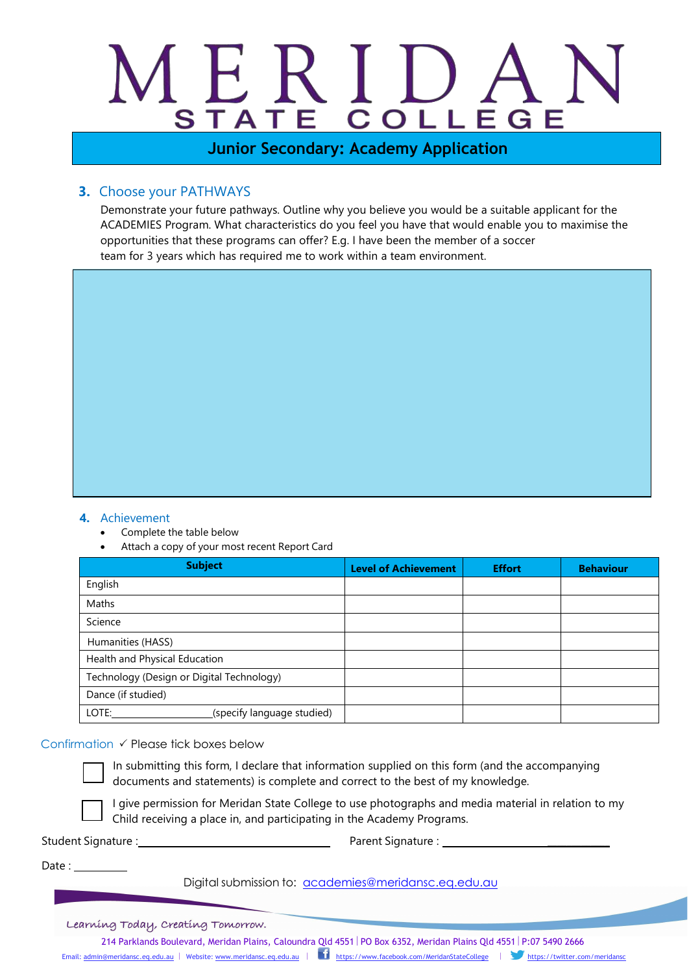# $\sum_{i=1}^{n}$ MERI **STAT**

**Junior Secondary: Academy Application**

#### **3.** Choose your PATHWAYS

Demonstrate your future pathways. Outline why you believe you would be a suitable applicant for the ACADEMIES Program. What characteristics do you feel you have that would enable you to maximise the opportunities that these programs can offer? E.g. I have been the member of a soccer team for 3 years which has required me to work within a team environment.

#### **4.** Achievement

- Complete the table below
- Attach a copy of your most recent Report Card

| <b>Subject</b>                            | <b>Level of Achievement</b> | <b>Effort</b> | <b>Behaviour</b> |
|-------------------------------------------|-----------------------------|---------------|------------------|
| English                                   |                             |               |                  |
| Maths                                     |                             |               |                  |
| Science                                   |                             |               |                  |
| Humanities (HASS)                         |                             |               |                  |
| Health and Physical Education             |                             |               |                  |
| Technology (Design or Digital Technology) |                             |               |                  |
| Dance (if studied)                        |                             |               |                  |
| LOTE:<br>(specify language studied)       |                             |               |                  |

#### Confirmation  $\checkmark$  Please tick boxes below



In submitting this form, I declare that information supplied on this form (and the accompanying documents and statements) is complete and correct to the best of my knowledge.

I give permission for Meridan State College to use photographs and media material in relation to my Child receiving a place in, and participating in the Academy Programs.

Student Signature : Parent Signature : \_\_\_\_\_\_\_\_\_\_\_\_\_

 $Date:$ 

Digital submission to: [academies@meridansc.eq.edu.au](mailto:admin@meridansc.eq.edu.au)

Learning Today, Creating Tomorrow.

214 Parklands Boulevard, Meridan Plains, Caloundra Qld 4551 PO Box 6352, Meridan Plains Qld 4551 P:07 5490 2666 Email: [admin@meridansc.eq.edu.au](mailto:admin@meridansc.eq.edu.au) | Website: [www.meridansc.eq.edu.au](http://www.meridansc.eq.edu.au/) | <https://www.facebook.com/MeridanStateCollege>| <https://twitter.com/meridansc>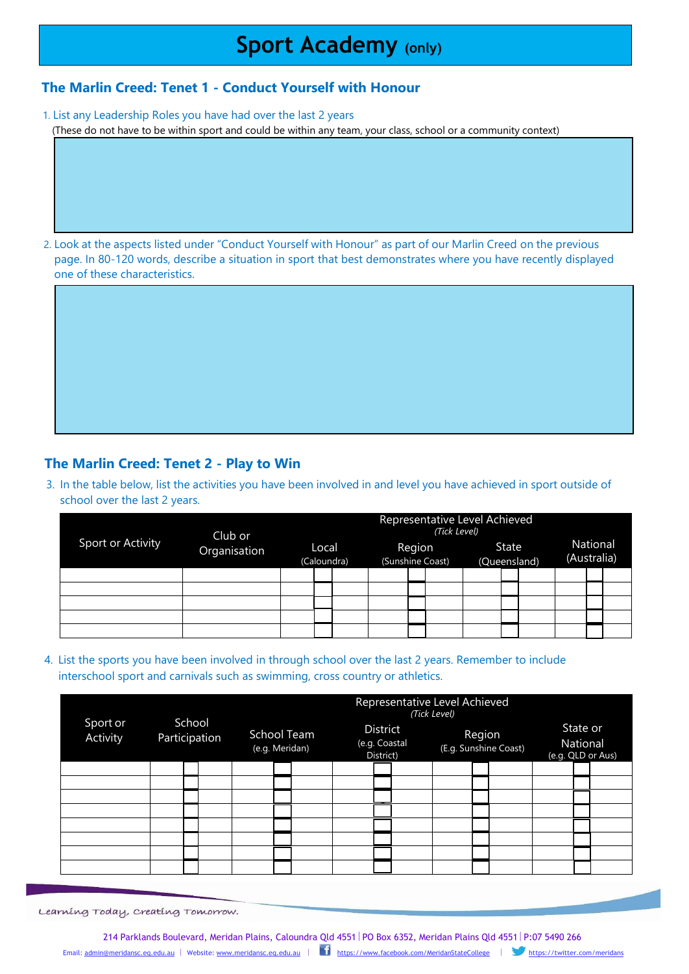# **Sport Academy (only)**

#### **The Marlin Creed: Tenet 1 - Conduct Yourself with Honour**

1. List any Leadership Roles you have had over the last 2 years (These do not have to be within sport and could be within any team, your class, school or a community context)

2. Look at the aspects listed under "Conduct Yourself with Honour" as part of our Marlin Creed on the previous page. In 80-120 words, describe a situation in sport that best demonstrates where you have recently displayed one of these characteristics.

#### **The Marlin Creed: Tenet 2 - Play to Win**

3. In the table below, list the activities you have been involved in and level you have achieved in sport outside of school over the last 2 years.

| Sport or Activity | Club or<br>Organisation | Representative Level Achieved<br>(Tick Level) |  |                            |  |  |                       |  |  |                         |  |  |  |
|-------------------|-------------------------|-----------------------------------------------|--|----------------------------|--|--|-----------------------|--|--|-------------------------|--|--|--|
|                   |                         | Local<br>(Caloundra)                          |  | Region<br>(Sunshine Coast) |  |  | State<br>(Queensland) |  |  | National<br>(Australia) |  |  |  |
|                   |                         |                                               |  |                            |  |  |                       |  |  |                         |  |  |  |
|                   |                         |                                               |  |                            |  |  |                       |  |  |                         |  |  |  |
|                   |                         |                                               |  |                            |  |  |                       |  |  |                         |  |  |  |
|                   |                         |                                               |  |                            |  |  |                       |  |  |                         |  |  |  |
|                   |                         |                                               |  |                            |  |  |                       |  |  |                         |  |  |  |

4. List the sports you have been involved in through school over the last 2 years. Remember to include interschool sport and carnivals such as swimming, cross country or athletics.

|          |                                     |  | Representative Level Achieved<br>(Tick Level) |                               |  |  |                                        |  |  |                                 |  |  |                                           |  |  |
|----------|-------------------------------------|--|-----------------------------------------------|-------------------------------|--|--|----------------------------------------|--|--|---------------------------------|--|--|-------------------------------------------|--|--|
| Activity | School<br>Sport or<br>Participation |  |                                               | School Team<br>(e.g. Meridan) |  |  | District<br>(e.g. Coastal<br>District) |  |  | Region<br>(E.g. Sunshine Coast) |  |  | State or<br>National<br>(e.g. QLD or Aus) |  |  |
|          |                                     |  |                                               |                               |  |  |                                        |  |  |                                 |  |  |                                           |  |  |
|          |                                     |  |                                               |                               |  |  |                                        |  |  |                                 |  |  |                                           |  |  |
|          |                                     |  |                                               |                               |  |  |                                        |  |  |                                 |  |  |                                           |  |  |
|          |                                     |  |                                               |                               |  |  |                                        |  |  |                                 |  |  |                                           |  |  |
|          |                                     |  |                                               |                               |  |  |                                        |  |  |                                 |  |  |                                           |  |  |
|          |                                     |  |                                               |                               |  |  |                                        |  |  |                                 |  |  |                                           |  |  |
|          |                                     |  |                                               |                               |  |  |                                        |  |  |                                 |  |  |                                           |  |  |
|          |                                     |  |                                               |                               |  |  |                                        |  |  |                                 |  |  |                                           |  |  |

Learning Today, Creating Tomorrow.